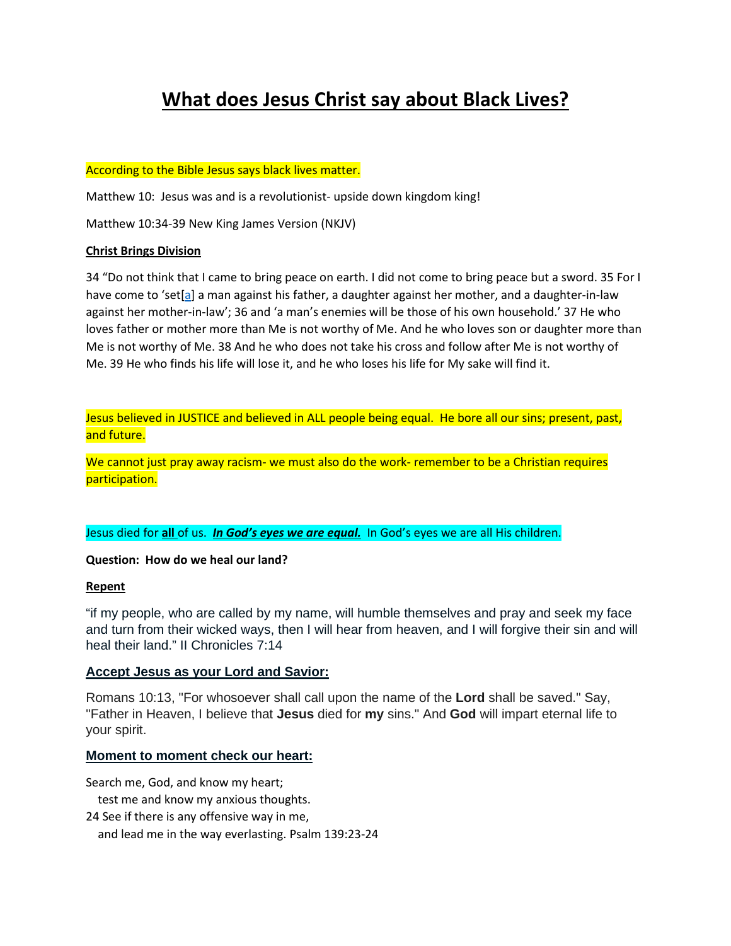## **What does Jesus Christ say about Black Lives?**

#### According to the Bible Jesus says black lives matter.

Matthew 10: Jesus was and is a revolutionist- upside down kingdom king!

Matthew 10:34-39 New King James Version (NKJV)

#### **Christ Brings Division**

34 "Do not think that I came to bring peace on earth. I did not come to bring peace but a sword. 35 For I have come to 'set[\[a\]](https://www.biblegateway.com/passage/?search=Matthew+10%3A34-39&version=NKJV#fen-NKJV-23453a) a man against his father, a daughter against her mother, and a daughter-in-law against her mother-in-law'; 36 and 'a man's enemies will be those of his own household.' 37 He who loves father or mother more than Me is not worthy of Me. And he who loves son or daughter more than Me is not worthy of Me. 38 And he who does not take his cross and follow after Me is not worthy of Me. 39 He who finds his life will lose it, and he who loses his life for My sake will find it.

Jesus believed in JUSTICE and believed in ALL people being equal. He bore all our sins; present, past, and future.

We cannot just pray away racism- we must also do the work- remember to be a Christian requires participation.

Jesus died for **all** of us. *In God's eyes we are equal.* In God's eyes we are all His children.

#### **Question: How do we heal our land?**

#### **Repent**

"if my people, who are called by my name, will humble themselves and pray and seek my face and turn from their wicked ways, then I will hear from heaven, and I will forgive their sin and will heal their land." II Chronicles 7:14

#### **Accept Jesus as your Lord and Savior:**

Romans 10:13, "For whosoever shall call upon the name of the **Lord** shall be saved." Say, "Father in Heaven, I believe that **Jesus** died for **my** sins." And **God** will impart eternal life to your spirit.

#### **Moment to moment check our heart:**

Search me, God, and know my heart;

test me and know my anxious thoughts.

24 See if there is any offensive way in me,

and lead me in the way everlasting. Psalm 139:23-24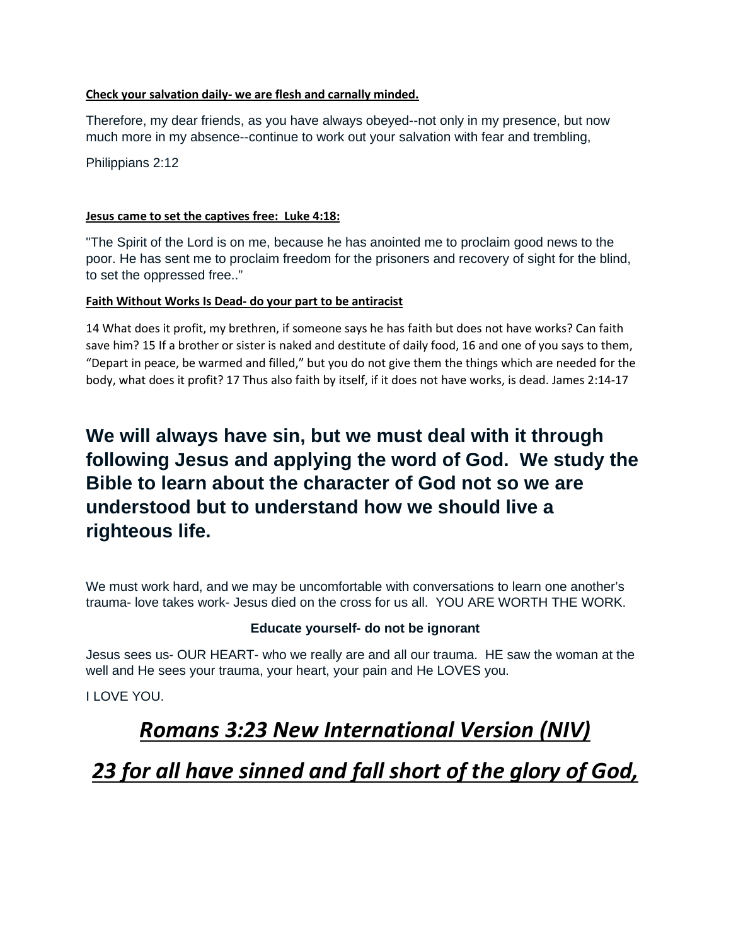### **Check your salvation daily- we are flesh and carnally minded.**

Therefore, my dear friends, as you have always obeyed--not only in my presence, but now much more in my absence--continue to work out your salvation with fear and trembling,

Philippians 2:12

### **Jesus came to set the captives free: Luke 4:18:**

"The Spirit of the Lord is on me, because he has anointed me to proclaim good news to the poor. He has sent me to proclaim freedom for the prisoners and recovery of sight for the blind, to set the oppressed free.."

### **Faith Without Works Is Dead- do your part to be antiracist**

14 What does it profit, my brethren, if someone says he has faith but does not have works? Can faith save him? 15 If a brother or sister is naked and destitute of daily food, 16 and one of you says to them, "Depart in peace, be warmed and filled," but you do not give them the things which are needed for the body, what does it profit? 17 Thus also faith by itself, if it does not have works, is dead. James 2:14-17

### **We will always have sin, but we must deal with it through following Jesus and applying the word of God. We study the Bible to learn about the character of God not so we are understood but to understand how we should live a righteous life.**

We must work hard, and we may be uncomfortable with conversations to learn one another's trauma- love takes work- Jesus died on the cross for us all. YOU ARE WORTH THE WORK.

### **Educate yourself- do not be ignorant**

Jesus sees us- OUR HEART- who we really are and all our trauma. HE saw the woman at the well and He sees your trauma, your heart, your pain and He LOVES you.

I LOVE YOU.

# *Romans 3:23 New International Version (NIV)*

*23 for all have sinned and fall short of the glory of God,*